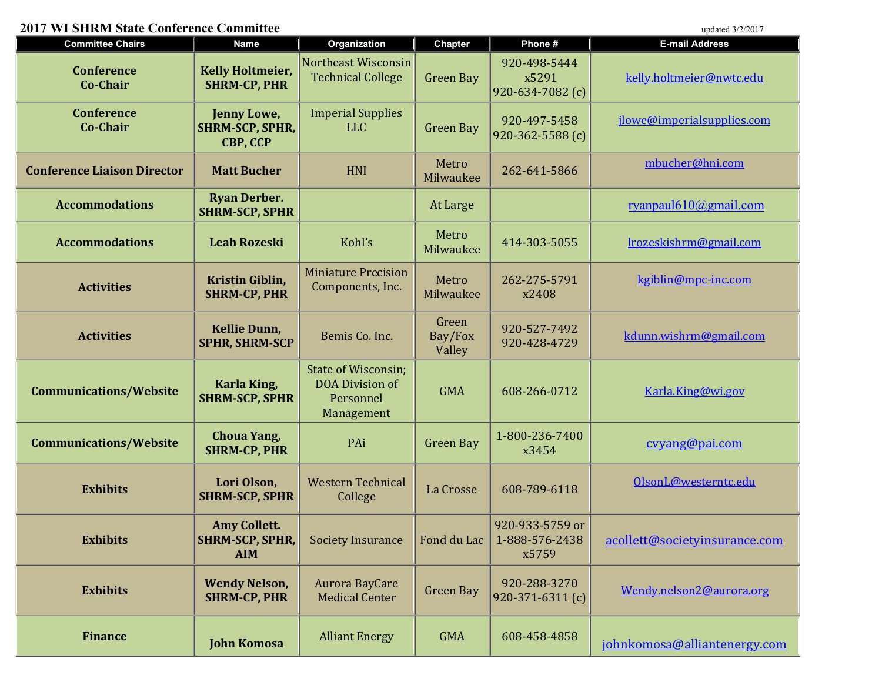## 2017 WI SHRM State Conference Committee updated 3/2/2017

| <b>Committee Chairs</b>              | <b>Name</b>                                                 | Organization                                                                    | <b>Chapter</b>             | Phone #                                         | <b>E-mail Address</b>         |
|--------------------------------------|-------------------------------------------------------------|---------------------------------------------------------------------------------|----------------------------|-------------------------------------------------|-------------------------------|
| <b>Conference</b><br><b>Co-Chair</b> | <b>Kelly Holtmeier,</b><br><b>SHRM-CP, PHR</b>              | Northeast Wisconsin<br><b>Technical College</b>                                 | <b>Green Bay</b>           | 920-498-5444<br>x5291<br>$920 - 634 - 7082$ (c) | kelly.holtmeier@nwtc.edu      |
| <b>Conference</b><br><b>Co-Chair</b> | Jenny Lowe,<br><b>SHRM-SCP, SPHR,</b><br><b>CBP, CCP</b>    | <b>Imperial Supplies</b><br><b>LLC</b>                                          | <b>Green Bay</b>           | 920-497-5458<br>$920 - 362 - 5588$ (c)          | jlowe@imperialsupplies.com    |
| <b>Conference Liaison Director</b>   | <b>Matt Bucher</b>                                          | <b>HNI</b>                                                                      | Metro<br>Milwaukee         | 262-641-5866                                    | mbucher@hni.com               |
| <b>Accommodations</b>                | <b>Ryan Derber.</b><br><b>SHRM-SCP, SPHR</b>                |                                                                                 | At Large                   |                                                 | ryanpaul $610$ @gmail.com     |
| <b>Accommodations</b>                | <b>Leah Rozeski</b>                                         | Kohl's                                                                          | Metro<br>Milwaukee         | 414-303-5055                                    | lrozeskishrm@gmail.com        |
| <b>Activities</b>                    | Kristin Giblin,<br><b>SHRM-CP, PHR</b>                      | <b>Miniature Precision</b><br>Components, Inc.                                  | Metro<br>Milwaukee         | 262-275-5791<br>x2408                           | kgiblin@mpc-inc.com           |
| <b>Activities</b>                    | <b>Kellie Dunn,</b><br><b>SPHR, SHRM-SCP</b>                | Bemis Co. Inc.                                                                  | Green<br>Bay/Fox<br>Valley | 920-527-7492<br>920-428-4729                    | kdunn.wishrm@gmail.com        |
| <b>Communications/Website</b>        | Karla King,<br><b>SHRM-SCP, SPHR</b>                        | <b>State of Wisconsin;</b><br><b>DOA Division of</b><br>Personnel<br>Management | <b>GMA</b>                 | 608-266-0712                                    | Karla.King@wi.gov             |
| <b>Communications/Website</b>        | <b>Choua Yang,</b><br><b>SHRM-CP, PHR</b>                   | PAi                                                                             | <b>Green Bay</b>           | 1-800-236-7400<br>x3454                         | cvyang@pai.com                |
| <b>Exhibits</b>                      | Lori Olson,<br><b>SHRM-SCP, SPHR</b>                        | <b>Western Technical</b><br>College                                             | La Crosse                  | 608-789-6118                                    | OlsonL@westerntc.edu          |
| <b>Exhibits</b>                      | <b>Amy Collett.</b><br><b>SHRM-SCP, SPHR,</b><br><b>AIM</b> | <b>Society Insurance</b>                                                        | Fond du Lac                | 920-933-5759 or<br>1-888-576-2438<br>x5759      | acollett@societyinsurance.com |
| <b>Exhibits</b>                      | <b>Wendy Nelson,</b><br><b>SHRM-CP, PHR</b>                 | <b>Aurora BayCare</b><br><b>Medical Center</b>                                  | <b>Green Bay</b>           | 920-288-3270<br>$ 920-371-6311(c) $             | Wendy.nelson2@aurora.org      |

Finance John Komosa Alliant Energy GMA 608-458-4858 johnkomosa@alliantenergy.com